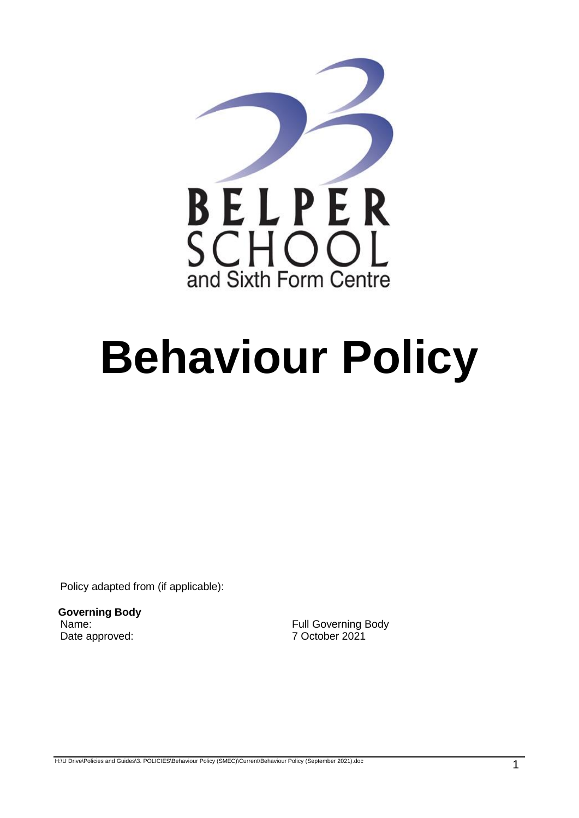

# **Behaviour Policy**

Policy adapted from (if applicable):

**Governing Body**  Date approved: 7 October 2021

Name: Name: Name: Name: Name: Name: Name: Name: Name: Name: Name: Name: Name: Name: Name: Name: Name: Name: Name: Name: Name: Name: Name: Name: Name: Name: Name: Name: Name: Name: Name: Name: Name: Name: Name: Name: Name:

H:\U Drive\Policies and Guides\3. POLICIES\Behaviour Policy (SMEC)\Current\Behaviour Policy (September 2021).doc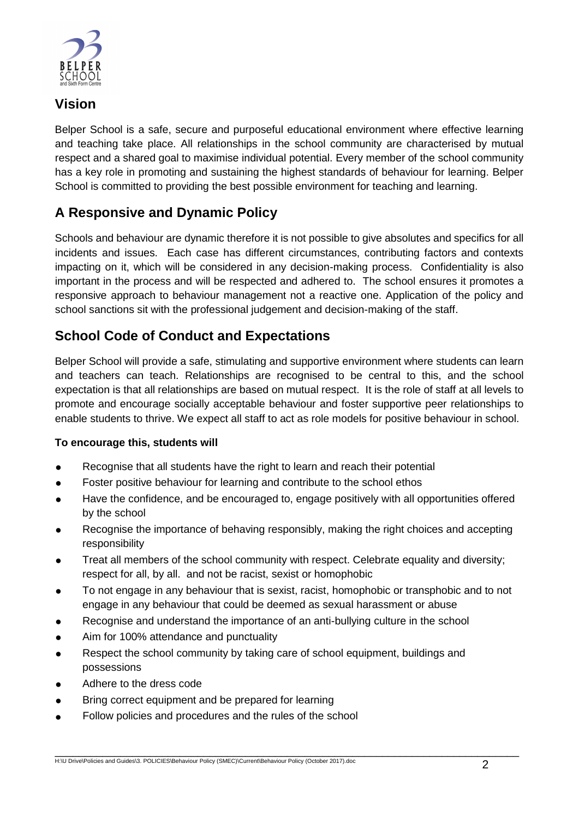

### **Vision**

Belper School is a safe, secure and purposeful educational environment where effective learning and teaching take place. All relationships in the school community are characterised by mutual respect and a shared goal to maximise individual potential. Every member of the school community has a key role in promoting and sustaining the highest standards of behaviour for learning. Belper School is committed to providing the best possible environment for teaching and learning.

## **A Responsive and Dynamic Policy**

Schools and behaviour are dynamic therefore it is not possible to give absolutes and specifics for all incidents and issues. Each case has different circumstances, contributing factors and contexts impacting on it, which will be considered in any decision-making process. Confidentiality is also important in the process and will be respected and adhered to. The school ensures it promotes a responsive approach to behaviour management not a reactive one. Application of the policy and school sanctions sit with the professional judgement and decision-making of the staff.

## **School Code of Conduct and Expectations**

Belper School will provide a safe, stimulating and supportive environment where students can learn and teachers can teach. Relationships are recognised to be central to this, and the school expectation is that all relationships are based on mutual respect. It is the role of staff at all levels to promote and encourage socially acceptable behaviour and foster supportive peer relationships to enable students to thrive. We expect all staff to act as role models for positive behaviour in school.

#### **To encourage this, students will**

- Recognise that all students have the right to learn and reach their potential
- Foster positive behaviour for learning and contribute to the school ethos
- Have the confidence, and be encouraged to, engage positively with all opportunities offered by the school
- Recognise the importance of behaving responsibly, making the right choices and accepting responsibility
- Treat all members of the school community with respect. Celebrate equality and diversity; respect for all, by all. and not be racist, sexist or homophobic
- To not engage in any behaviour that is sexist, racist, homophobic or transphobic and to not engage in any behaviour that could be deemed as sexual harassment or abuse
- Recognise and understand the importance of an anti-bullying culture in the school
- Aim for 100% attendance and punctuality
- Respect the school community by taking care of school equipment, buildings and possessions
- Adhere to the dress code
- Bring correct equipment and be prepared for learning
- Follow policies and procedures and the rules of the school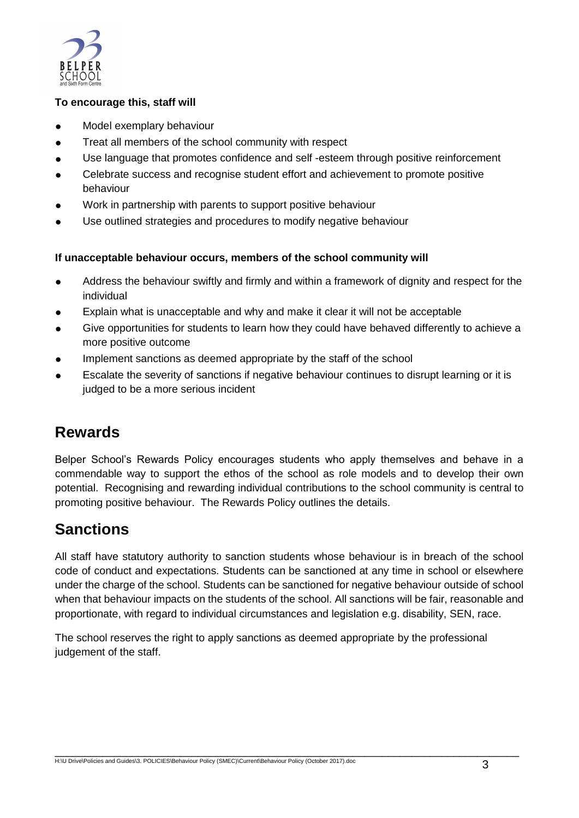

#### **To encourage this, staff will**

- Model exemplary behaviour
- Treat all members of the school community with respect
- Use language that promotes confidence and self -esteem through positive reinforcement
- Celebrate success and recognise student effort and achievement to promote positive behaviour
- Work in partnership with parents to support positive behaviour
- Use outlined strategies and procedures to modify negative behaviour

#### **If unacceptable behaviour occurs, members of the school community will**

- Address the behaviour swiftly and firmly and within a framework of dignity and respect for the individual
- Explain what is unacceptable and why and make it clear it will not be acceptable
- Give opportunities for students to learn how they could have behaved differently to achieve a more positive outcome
- Implement sanctions as deemed appropriate by the staff of the school
- Escalate the severity of sanctions if negative behaviour continues to disrupt learning or it is judged to be a more serious incident

# **Rewards**

Belper School's Rewards Policy encourages students who apply themselves and behave in a commendable way to support the ethos of the school as role models and to develop their own potential. Recognising and rewarding individual contributions to the school community is central to promoting positive behaviour. The Rewards Policy outlines the details.

# **Sanctions**

All staff have statutory authority to sanction students whose behaviour is in breach of the school code of conduct and expectations. Students can be sanctioned at any time in school or elsewhere under the charge of the school. Students can be sanctioned for negative behaviour outside of school when that behaviour impacts on the students of the school. All sanctions will be fair, reasonable and proportionate, with regard to individual circumstances and legislation e.g. disability, SEN, race.

The school reserves the right to apply sanctions as deemed appropriate by the professional judgement of the staff.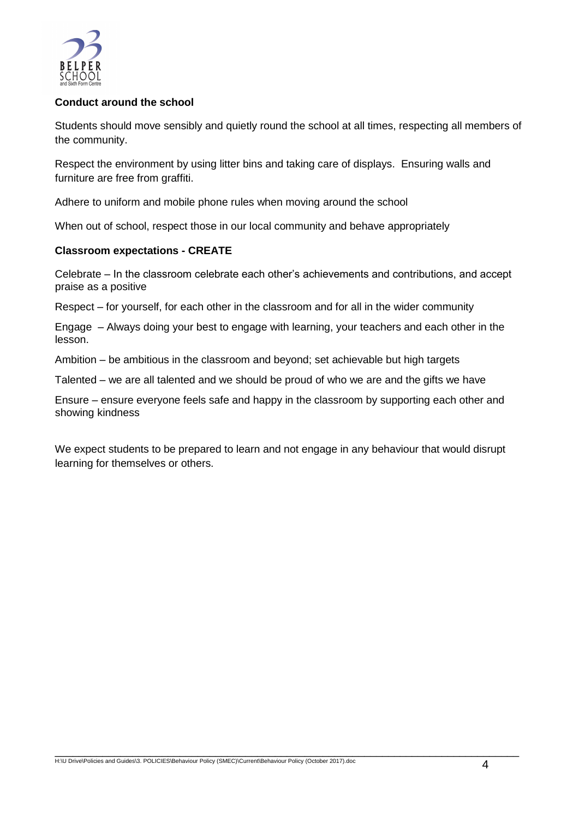

#### **Conduct around the school**

Students should move sensibly and quietly round the school at all times, respecting all members of the community.

Respect the environment by using litter bins and taking care of displays. Ensuring walls and furniture are free from graffiti.

Adhere to uniform and mobile phone rules when moving around the school

When out of school, respect those in our local community and behave appropriately

#### **Classroom expectations - CREATE**

Celebrate – In the classroom celebrate each other's achievements and contributions, and accept praise as a positive

Respect – for yourself, for each other in the classroom and for all in the wider community

Engage – Always doing your best to engage with learning, your teachers and each other in the lesson.

Ambition – be ambitious in the classroom and beyond; set achievable but high targets

Talented – we are all talented and we should be proud of who we are and the gifts we have

Ensure – ensure everyone feels safe and happy in the classroom by supporting each other and showing kindness

We expect students to be prepared to learn and not engage in any behaviour that would disrupt learning for themselves or others.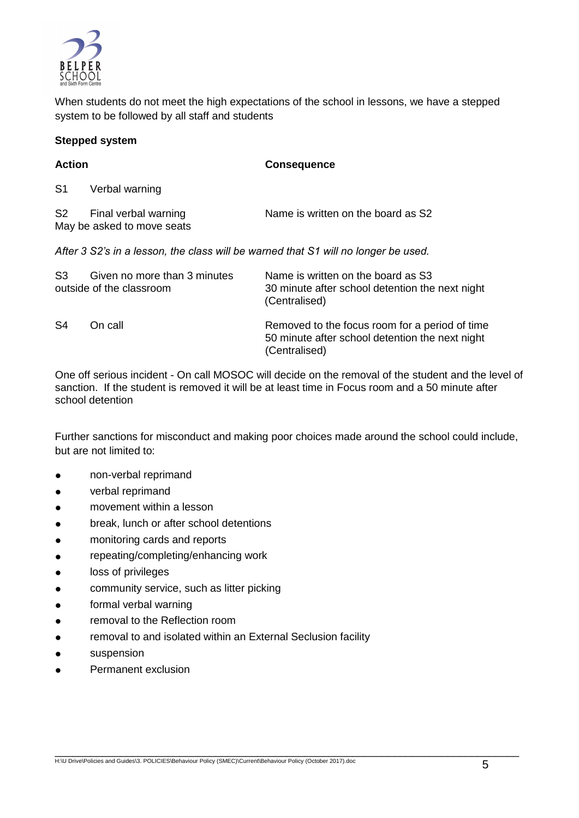

When students do not meet the high expectations of the school in lessons, we have a stepped system to be followed by all staff and students

#### **Stepped system**

| <b>Action</b>  |                                                          | <b>Consequence</b>                                                                                                 |
|----------------|----------------------------------------------------------|--------------------------------------------------------------------------------------------------------------------|
| S <sub>1</sub> | Verbal warning                                           |                                                                                                                    |
| S2             | Final verbal warning<br>May be asked to move seats       | Name is written on the board as S2                                                                                 |
|                |                                                          | After 3 S2's in a lesson, the class will be warned that S1 will no longer be used.                                 |
| S <sub>3</sub> | Given no more than 3 minutes<br>outside of the classroom | Name is written on the board as S3<br>30 minute after school detention the next night<br>(Centralised)             |
| S <sub>4</sub> | On call                                                  | Removed to the focus room for a period of time<br>50 minute after school detention the next night<br>(Centralised) |

One off serious incident - On call MOSOC will decide on the removal of the student and the level of sanction. If the student is removed it will be at least time in Focus room and a 50 minute after school detention

Further sanctions for misconduct and making poor choices made around the school could include, but are not limited to:

- non-verbal reprimand
- verbal reprimand
- movement within a lesson
- break, lunch or after school detentions
- monitoring cards and reports
- repeating/completing/enhancing work
- loss of privileges
- community service, such as litter picking
- formal verbal warning
- removal to the Reflection room
- removal to and isolated within an External Seclusion facility
- **e** suspension
- Permanent exclusion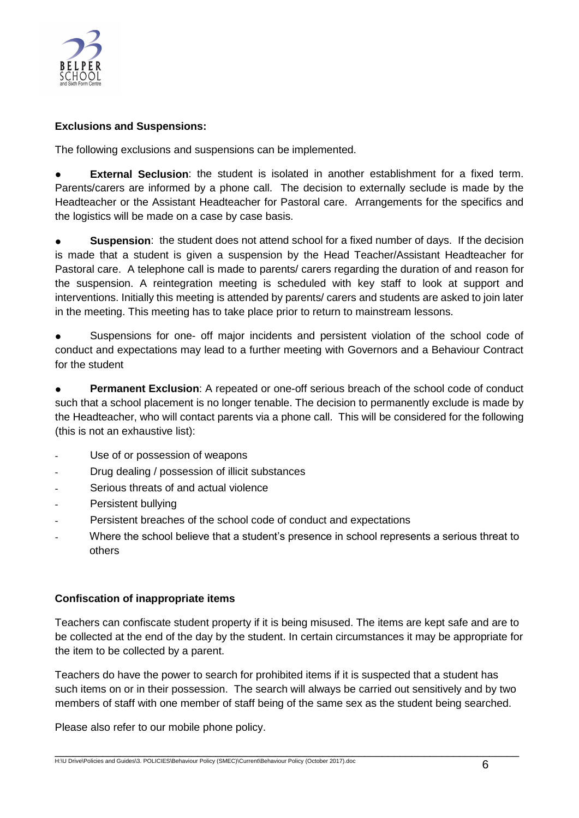

#### **Exclusions and Suspensions:**

The following exclusions and suspensions can be implemented.

**External Seclusion**: the student is isolated in another establishment for a fixed term. Parents/carers are informed by a phone call. The decision to externally seclude is made by the Headteacher or the Assistant Headteacher for Pastoral care. Arrangements for the specifics and the logistics will be made on a case by case basis.

**Suspension:** the student does not attend school for a fixed number of days. If the decision is made that a student is given a suspension by the Head Teacher/Assistant Headteacher for Pastoral care. A telephone call is made to parents/ carers regarding the duration of and reason for the suspension. A reintegration meeting is scheduled with key staff to look at support and interventions. Initially this meeting is attended by parents/ carers and students are asked to join later in the meeting. This meeting has to take place prior to return to mainstream lessons.

● Suspensions for one- off major incidents and persistent violation of the school code of conduct and expectations may lead to a further meeting with Governors and a Behaviour Contract for the student

● **Permanent Exclusion**: A repeated or one-off serious breach of the school code of conduct such that a school placement is no longer tenable. The decision to permanently exclude is made by the Headteacher, who will contact parents via a phone call. This will be considered for the following (this is not an exhaustive list):

- Use of or possession of weapons
- Drug dealing / possession of illicit substances
- Serious threats of and actual violence
- Persistent bullying
- Persistent breaches of the school code of conduct and expectations
- Where the school believe that a student's presence in school represents a serious threat to others

#### **Confiscation of inappropriate items**

Teachers can confiscate student property if it is being misused. The items are kept safe and are to be collected at the end of the day by the student. In certain circumstances it may be appropriate for the item to be collected by a parent.

Teachers do have the power to search for prohibited items if it is suspected that a student has such items on or in their possession. The search will always be carried out sensitively and by two members of staff with one member of staff being of the same sex as the student being searched.

Please also refer to our mobile phone policy.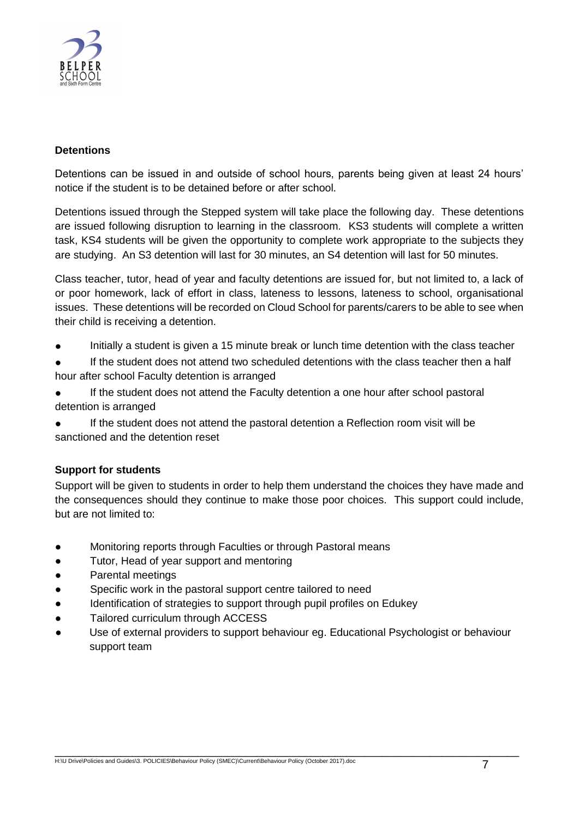

#### **Detentions**

Detentions can be issued in and outside of school hours, parents being given at least 24 hours' notice if the student is to be detained before or after school.

Detentions issued through the Stepped system will take place the following day. These detentions are issued following disruption to learning in the classroom. KS3 students will complete a written task, KS4 students will be given the opportunity to complete work appropriate to the subjects they are studying. An S3 detention will last for 30 minutes, an S4 detention will last for 50 minutes.

Class teacher, tutor, head of year and faculty detentions are issued for, but not limited to, a lack of or poor homework, lack of effort in class, lateness to lessons, lateness to school, organisational issues. These detentions will be recorded on Cloud School for parents/carers to be able to see when their child is receiving a detention.

- Initially a student is given a 15 minute break or lunch time detention with the class teacher
- If the student does not attend two scheduled detentions with the class teacher then a half hour after school Faculty detention is arranged
- If the student does not attend the Faculty detention a one hour after school pastoral detention is arranged
- If the student does not attend the pastoral detention a Reflection room visit will be sanctioned and the detention reset

#### **Support for students**

Support will be given to students in order to help them understand the choices they have made and the consequences should they continue to make those poor choices. This support could include, but are not limited to:

- Monitoring reports through Faculties or through Pastoral means
- Tutor, Head of year support and mentoring
- Parental meetings
- Specific work in the pastoral support centre tailored to need
- Identification of strategies to support through pupil profiles on Edukey
- Tailored curriculum through ACCESS
- Use of external providers to support behaviour eg. Educational Psychologist or behaviour support team